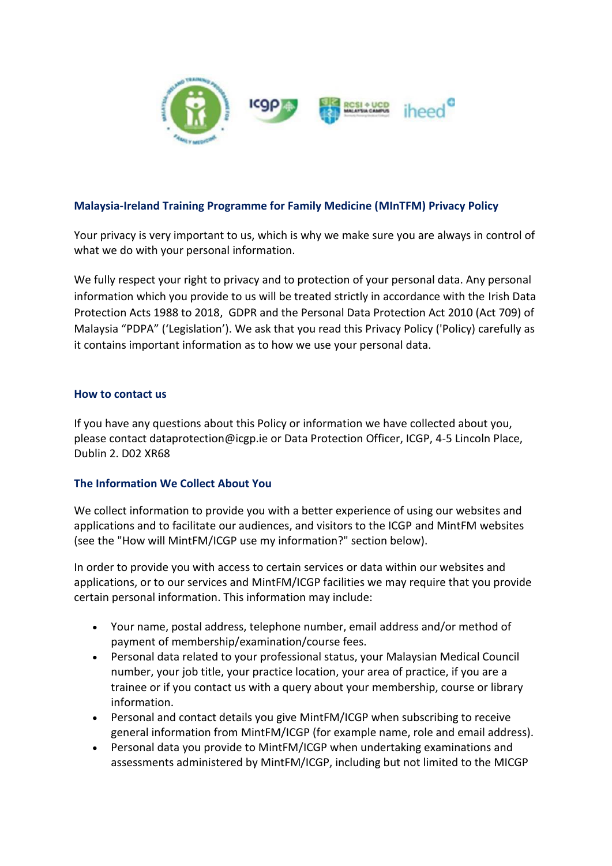

# **Malaysia-Ireland Training Programme for Family Medicine (MInTFM) Privacy Policy**

Your privacy is very important to us, which is why we make sure you are always in control of what we do with your personal information.

We fully respect your right to privacy and to protection of your personal data. Any personal information which you provide to us will be treated strictly in accordance with the Irish Data Protection Acts 1988 to 2018, GDPR and the Personal Data Protection Act 2010 (Act 709) of Malaysia "PDPA" ('Legislation'). We ask that you read this Privacy Policy ('Policy) carefully as it contains important information as to how we use your personal data.

### **How to contact us**

If you have any questions about this Policy or information we have collected about you, please contact dataprotection@icgp.ie or Data Protection Officer, ICGP, 4-5 Lincoln Place, Dublin 2. D02 XR68

## **The Information We Collect About You**

We collect information to provide you with a better experience of using our websites and applications and to facilitate our audiences, and visitors to the ICGP and MintFM websites (see the "How will MintFM/ICGP use my information?" section below).

In order to provide you with access to certain services or data within our websites and applications, or to our services and MintFM/ICGP facilities we may require that you provide certain personal information. This information may include:

- Your name, postal address, telephone number, email address and/or method of payment of membership/examination/course fees.
- Personal data related to your professional status, your Malaysian Medical Council number, your job title, your practice location, your area of practice, if you are a trainee or if you contact us with a query about your membership, course or library information.
- Personal and contact details you give MintFM/ICGP when subscribing to receive general information from MintFM/ICGP (for example name, role and email address).
- Personal data you provide to MintFM/ICGP when undertaking examinations and assessments administered by MintFM/ICGP, including but not limited to the MICGP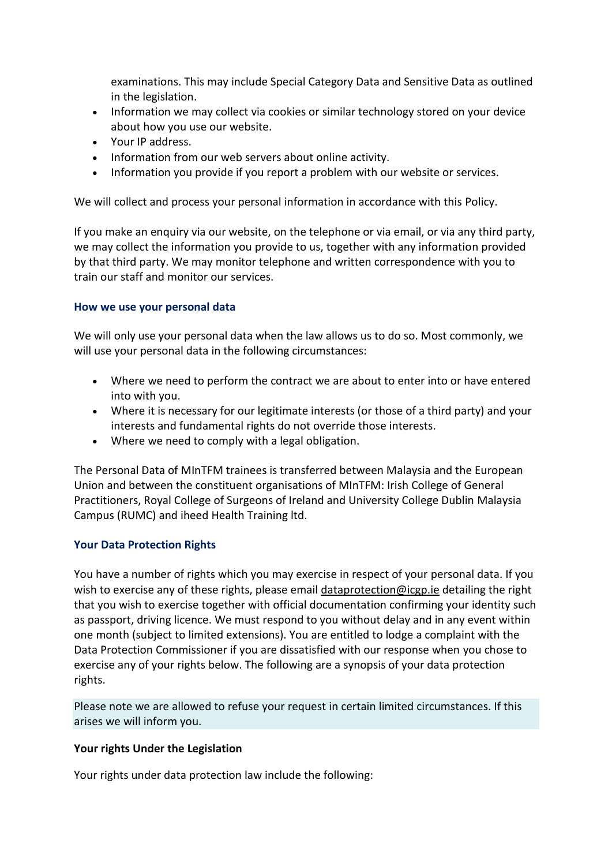examinations. This may include Special Category Data and Sensitive Data as outlined in the legislation.

- Information we may collect via cookies or similar technology stored on your device about how you use our website.
- Your IP address.
- Information from our web servers about online activity.
- Information you provide if you report a problem with our website or services.

We will collect and process your personal information in accordance with this Policy.

If you make an enquiry via our website, on the telephone or via email, or via any third party, we may collect the information you provide to us, together with any information provided by that third party. We may monitor telephone and written correspondence with you to train our staff and monitor our services.

## **How we use your personal data**

We will only use your personal data when the law allows us to do so. Most commonly, we will use your personal data in the following circumstances:

- Where we need to perform the contract we are about to enter into or have entered into with you.
- Where it is necessary for our legitimate interests (or those of a third party) and your interests and fundamental rights do not override those interests.
- Where we need to comply with a legal obligation.

The Personal Data of MInTFM trainees is transferred between Malaysia and the European Union and between the constituent organisations of MInTFM: Irish College of General Practitioners, Royal College of Surgeons of Ireland and University College Dublin Malaysia Campus (RUMC) and iheed Health Training ltd.

## **Your Data Protection Rights**

You have a number of rights which you may exercise in respect of your personal data. If you wish to exercise any of these rights, please email [dataprotection@icgp.ie](mailto:dataprotection@icgp.ie) detailing the right that you wish to exercise together with official documentation confirming your identity such as passport, driving licence. We must respond to you without delay and in any event within one month (subject to limited extensions). You are entitled to lodge a complaint with the Data Protection Commissioner if you are dissatisfied with our response when you chose to exercise any of your rights below. The following are a synopsis of your data protection rights.

Please note we are allowed to refuse your request in certain limited circumstances. If this arises we will inform you.

## **Your rights Under the Legislation**

Your rights under data protection law include the following: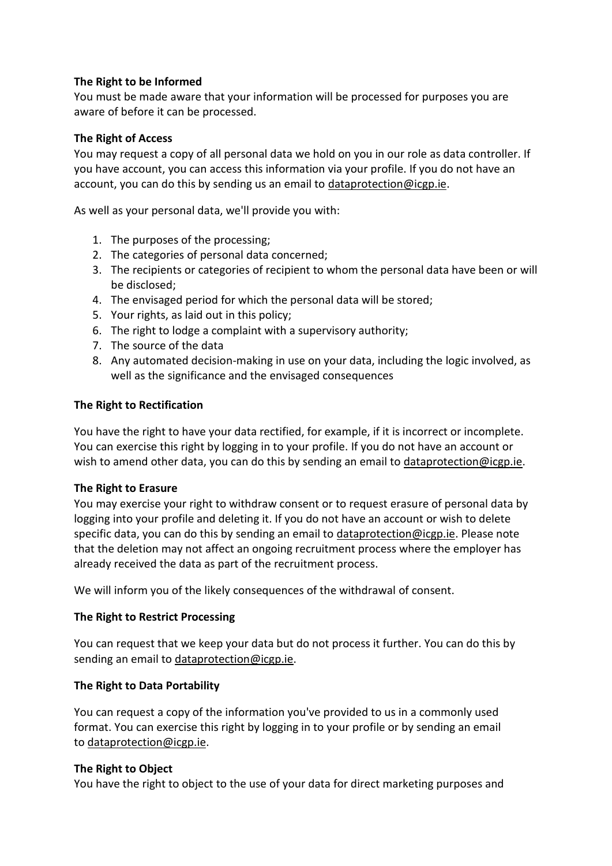# **The Right to be Informed**

You must be made aware that your information will be processed for purposes you are aware of before it can be processed.

## **The Right of Access**

You may request a copy of all personal data we hold on you in our role as data controller. If you have account, you can access this information via your profile. If you do not have an account, you can do this by sending us an email to [dataprotection@icgp.ie.](mailto:dataprotection@icgp.ie)

As well as your personal data, we'll provide you with:

- 1. The purposes of the processing;
- 2. The categories of personal data concerned;
- 3. The recipients or categories of recipient to whom the personal data have been or will be disclosed;
- 4. The envisaged period for which the personal data will be stored;
- 5. Your rights, as laid out in this policy;
- 6. The right to lodge a complaint with a supervisory authority;
- 7. The source of the data
- 8. Any automated decision-making in use on your data, including the logic involved, as well as the significance and the envisaged consequences

## **The Right to Rectification**

You have the right to have your data rectified, for example, if it is incorrect or incomplete. You can exercise this right by logging in to your profile. If you do not have an account or wish to amend other data, you can do this by sending an email to [dataprotection@icgp.ie.](mailto:dataprotection@icgp.ie)

## **The Right to Erasure**

You may exercise your right to withdraw consent or to request erasure of personal data by logging into your profile and deleting it. If you do not have an account or wish to delete specific data, you can do this by sending an email to [dataprotection@icgp.ie.](mailto:dataprotection@icgp.ie) Please note that the deletion may not affect an ongoing recruitment process where the employer has already received the data as part of the recruitment process.

We will inform you of the likely consequences of the withdrawal of consent.

## **The Right to Restrict Processing**

You can request that we keep your data but do not process it further. You can do this by sending an email to [dataprotection@icgp.ie.](mailto:dataprotection@icgp.ie)

## **The Right to Data Portability**

You can request a copy of the information you've provided to us in a commonly used format. You can exercise this right by logging in to your profile or by sending an email to [dataprotection@icgp.ie.](mailto:dataprotection@icgp.ie)

## **The Right to Object**

You have the right to object to the use of your data for direct marketing purposes and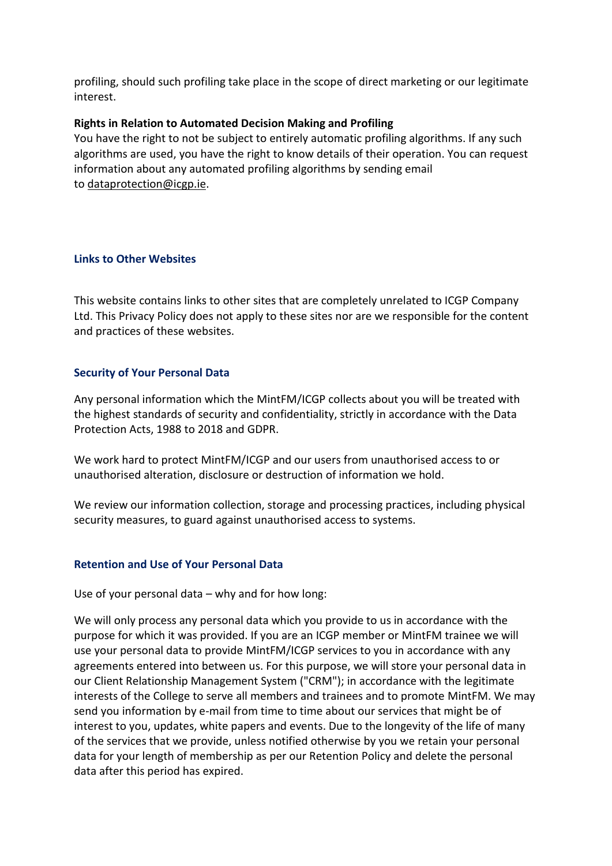profiling, should such profiling take place in the scope of direct marketing or our legitimate interest.

## **Rights in Relation to Automated Decision Making and Profiling**

You have the right to not be subject to entirely automatic profiling algorithms. If any such algorithms are used, you have the right to know details of their operation. You can request information about any automated profiling algorithms by sending email to [dataprotection@icgp.ie.](mailto:dataprotection@icgp.ie)

## **Links to Other Websites**

This website contains links to other sites that are completely unrelated to ICGP Company Ltd. This Privacy Policy does not apply to these sites nor are we responsible for the content and practices of these websites.

## **Security of Your Personal Data**

Any personal information which the MintFM/ICGP collects about you will be treated with the highest standards of security and confidentiality, strictly in accordance with the Data Protection Acts, 1988 to 2018 and GDPR.

We work hard to protect MintFM/ICGP and our users from unauthorised access to or unauthorised alteration, disclosure or destruction of information we hold.

We review our information collection, storage and processing practices, including physical security measures, to guard against unauthorised access to systems.

## **Retention and Use of Your Personal Data**

Use of your personal data – why and for how long:

We will only process any personal data which you provide to us in accordance with the purpose for which it was provided. If you are an ICGP member or MintFM trainee we will use your personal data to provide MintFM/ICGP services to you in accordance with any agreements entered into between us. For this purpose, we will store your personal data in our Client Relationship Management System ("CRM"); in accordance with the legitimate interests of the College to serve all members and trainees and to promote MintFM. We may send you information by e-mail from time to time about our services that might be of interest to you, updates, white papers and events. Due to the longevity of the life of many of the services that we provide, unless notified otherwise by you we retain your personal data for your length of membership as per our Retention Policy and delete the personal data after this period has expired.